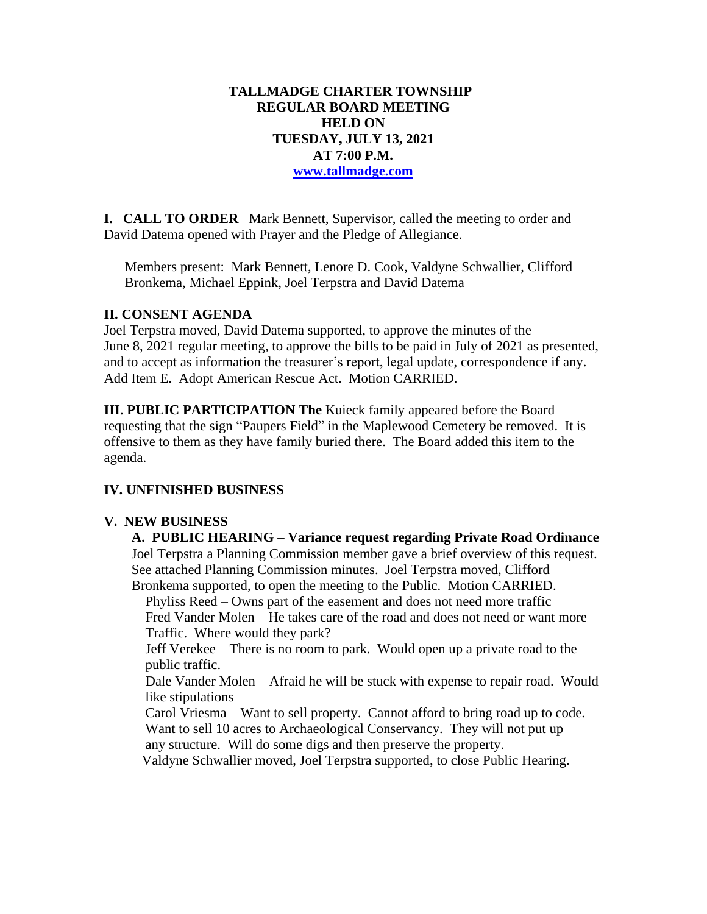## **TALLMADGE CHARTER TOWNSHIP REGULAR BOARD MEETING HELD ON TUESDAY, JULY 13, 2021 AT 7:00 P.M. [www.tallmadge.com](http://www.tallmadge.com/)**

**I. CALL TO ORDER** Mark Bennett, Supervisor, called the meeting to order and David Datema opened with Prayer and the Pledge of Allegiance.

Members present: Mark Bennett, Lenore D. Cook, Valdyne Schwallier, Clifford Bronkema, Michael Eppink, Joel Terpstra and David Datema

#### **II. CONSENT AGENDA**

Joel Terpstra moved, David Datema supported, to approve the minutes of the June 8, 2021 regular meeting, to approve the bills to be paid in July of 2021 as presented, and to accept as information the treasurer's report, legal update, correspondence if any. Add Item E. Adopt American Rescue Act. Motion CARRIED.

**III. PUBLIC PARTICIPATION The** Kuieck family appeared before the Board requesting that the sign "Paupers Field" in the Maplewood Cemetery be removed. It is offensive to them as they have family buried there. The Board added this item to the agenda.

# **IV. UNFINISHED BUSINESS**

## **V. NEW BUSINESS**

 **A. PUBLIC HEARING – Variance request regarding Private Road Ordinance** Joel Terpstra a Planning Commission member gave a brief overview of this request. See attached Planning Commission minutes. Joel Terpstra moved, Clifford Bronkema supported, to open the meeting to the Public. Motion CARRIED.

 Phyliss Reed – Owns part of the easement and does not need more traffic Fred Vander Molen – He takes care of the road and does not need or want more Traffic. Where would they park?

 Jeff Verekee – There is no room to park. Would open up a private road to the public traffic.

 Dale Vander Molen – Afraid he will be stuck with expense to repair road. Would like stipulations

Carol Vriesma – Want to sell property. Cannot afford to bring road up to code. Want to sell 10 acres to Archaeological Conservancy. They will not put up any structure. Will do some digs and then preserve the property.

Valdyne Schwallier moved, Joel Terpstra supported, to close Public Hearing.